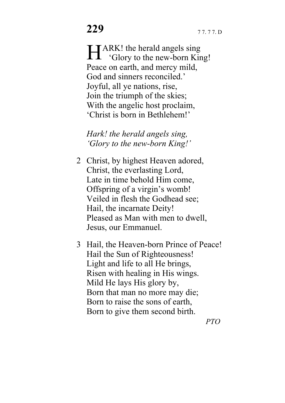ARK! the herald angels sing **HARK!** the herald angels sing<br>
'Glory to the new-born King! Peace on earth, and mercy mild, God and sinners reconciled. Joyful, all ye nations, rise, Join the triumph of the skies; With the angelic host proclaim, 'Christ is born in Bethlehem!'

*Hark! the herald angels sing, 'Glory to the new-born King!'* 

- 2 Christ, by highest Heaven adored, Christ, the everlasting Lord, Late in time behold Him come, Offspring of a virgin's womb! Veiled in flesh the Godhead see; Hail, the incarnate Deity! Pleased as Man with men to dwell, Jesus, our Emmanuel.
- 3 Hail, the Heaven-born Prince of Peace! Hail the Sun of Righteousness! Light and life to all He brings, Risen with healing in His wings. Mild He lays His glory by, Born that man no more may die; Born to raise the sons of earth, Born to give them second birth.

*PTO*